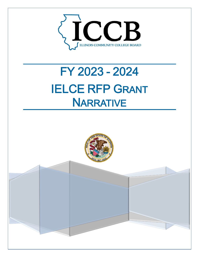

# FY 2023 - 2024 **IELCE RFP GRANT NARRATIVE**



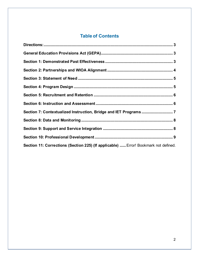# **Table of Contents**

| Section 11: Corrections (Section 225) (If applicable)  Error! Bookmark not defined. |  |
|-------------------------------------------------------------------------------------|--|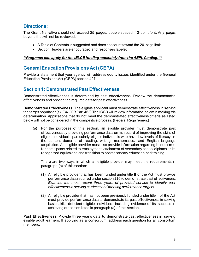#### <span id="page-2-0"></span>**Directions:**

The Grant Narrative should not exceed 25 pages, double spaced, 12-point font. Any pages beyond that will not be reviewed.

- A Table of Contents is suggested and does not count toward the 20-page limit.
- Section Headers are encouraged and responses labeled.

#### *\*\*Programs can apply for the IELCE funding separately from the AEFL funding. \*\**

# <span id="page-2-1"></span>**General Education Provisions Act (GEPA)**

Provide a statement that your agency will address equity issues identified under the General Education Provisions Act (GEPA) section 427.

### <span id="page-2-2"></span>**Section 1: Demonstrated Past Effectiveness**

Demonstrated effectiveness is determined by past effectiveness. Review the demonstrated effectiveness and provide the required data for past effectiveness.

**Demonstrated Effectiveness**. The eligible applicant must demonstrate effectiveness in serving the target population(s). (34 CFR Part 463) The ICCB will review information below in making this determination**.** Applications that do not meet the demonstrated effectiveness criteria as listed below will not be considered in the competitive process. (Federal Requirement)

(a) For the purposes of this section, an eligible provider must demonstrate past effectiveness by providing performance data on its record of improving the skills of eligible individuals, particularly eligible individuals who have low levels of literacy, in the content domains of reading, writing, mathematics, and English language acquisition. An eligible provider must also provide information regarding its outcomes for participants related to employment, attainment of secondary school diploma or its recognized equivalent, and transition to postsecondary education and training.

There are two ways in which an eligible provider may meet the requirements in paragraph (a) of this section:

- (1) An eligible provider that has been funded under title II of the Act must provide performance data required under section 116 to demonstrate past effectiveness. *Examine the most recent three years of provided service to identify past effectiveness in serving students and meeting performance targets.*
- (2) An eligible provider that has not been previously funded under title II of the Act must provide performance data to demonstrate its past effectiveness in serving basic skills deficient eligible individuals including evidence of its success in achieving outcomes listed in paragraph (a) of this section.

**Past Effectiveness.** Provide three year's data to demonstrate past effectiveness in serving eligible adult learners. If applying as a consortium, address each question for all consortium members.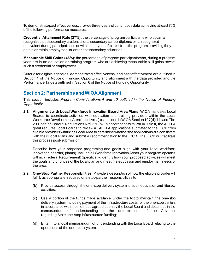To demonstrate past effectiveness, provide three-years of continuous data achieving at least 70% of the following performance measures:

**Credential Attainment Rate (27%):** the percentage of program participants who obtain a recognized postsecondary credential or a secondary school diploma or its recognized equivalent during participation in or within one year after exit from the program providing they obtain or retain employment or enter postsecondary education

**Measurable Skill Gains (46%)**: the percentage of program participants who, during a program year, are in an education or training program who are achieving measurable skill gains toward such a credential or employment

Criteria for eligible agencies, demonstrated effectiveness, and past effectiveness are outlined in Section 1 of the Notice of Funding Opportunity and alignment with the data provided and the Performance Targets outlined in Section 6 of the Notice of Funding Opportunity.

### <span id="page-3-0"></span>**Section 2: Partnerships and WIOA Alignment**

This section includes *Program Considerations 4 and 10 outlined in the Notice of Funding Opportunity.* 

**2.1 Alignment with Local Workforce Innovation Board Area Plans.** WIOA mandates Local Boards to coordinate activities with education and training providers within the Local Workforce Development Area (Local Area) as outlined in WIOA Section 107(d)(11) and Title 20 Code of Federal Regulations 679.370(n). In accordance with WIOA Title II, the AEFLA grant requires Local Boards to review all AEFLA applications submitted to the ICCB from eligible providers within the Local Area to determine whether the applications are consistent with their Local Plans and submit a recommendation to the ICCB. The ICCB will facilitate this process post-submission.

Describe how your proposed programing and goals align with your local workforce innovation board(s) plan(s). Include all Workforce Innovation Areas your program operates within. (Federal Requirement) Specifically, identify how your proposed activities will meet the goals and priorities of the local plan and meet the education and employment needs of the area.

- **2.2 One-Stop Partner Responsibilities.** Provide a description of how the eligible provider will fulfill, as appropriate, required one-stop partner responsibilities to:
	- (b) Provide access through the one-stop delivery system to adult education and literacy activities;
	- (c) Use a portion of the funds made available under the Act to maintain the one-stop delivery system including payment of the infrastructure costs for the one-stop centers in accordance with the methods agreed upon by the Local Board and described in the memorandum of understanding or the determination of the Governor regarding State one-stop infrastructure funding;
	- (d) Enter into a local memorandum of understanding with the Local Board relating to the operations of the one-stop system;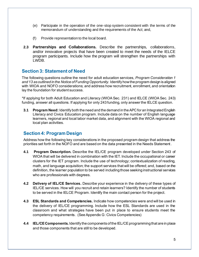- (e) Participate in the operation of the one-stop system consistent with the terms of the memorandum of understanding and the requirements of the Act; and,
- (f) Provide representation to the local board.
- **2.3 Partnerships and Collaborations.** Describe the partnerships, collaborations, and/or innovative projects that have been created to meet the needs of the IELCE program participants. Include how the program will strengthen the partnerships with LWDB.

### <span id="page-4-0"></span>**Section 3: Statement of Need**

The following questions outline the need for adult education services, *Program Consideration 1 and 13 as outlined in the Notice of Funding Opportunity.* Identify how the program design is aligned with WIOA and NOFO considerations; and address how recruitment, enrollment, and orientation lay the foundation for student success.

\*If applying for both Adult Education and Literacy (WIOA Sec. 231) and IELCE (WIOA Sec. 243) funding, answer all questions. If applying for only 243 funding, only answer the IELCE question.

**3.1 Program Need:** Identify both the need and the demand in the APC for an Integrated English Literacy and Civics Education program. Include data on the number of English language learners, regional and local labor market data, and alignment with the WIOA regional and local plan activities.

### <span id="page-4-1"></span>**Section 4: Program Design**

Address how the following key considerations in the proposed program design that address the priorities set forth in the NOFO and are based on the data presented in the Needs Statement.

- **4.1 Program Description.** Describe the IEL/CE program developed under Section 243 of WIOA that will be delivered in combination with the IET. Include the occupational or career clusters for the IET program. Include the use of technology; contextualization of reading, math, and language acquisition; the support services that will be offered; and, based on the definition, the learner population to be served including those seeking instructional services who are professionals with degrees.
- **4.2 Delivery of IEL/CE Services.** Describe your experience in the delivery of these types of IEL/CE services. How will you recruit and retain learners? Identify the number of students to be served in the IELCE Program. Identify the main contact person for the project.
- **4.3 ESL Standards and Competencies.** Indicate how competencies were and will be used in the delivery of IEL/CE programming. Include how the ESL Standards are used in the classroom and what strategies have been put in place to ensure students meet the competency requirements. (See Appendix G: Civics Competencies)
- **4.4 IEL/CEComponents.** Identify the components of the IEL/CE programming that are in place and those components that are still to be developed.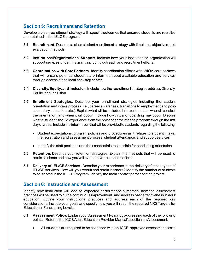# <span id="page-5-0"></span>**Section 5: Recruitment and Retention**

Develop a clear recruitment strategy with specific outcomes that ensures students are recruited and retained in the IELCE program.

- **5.1 Recruitment.** Describe a clear student recruitment strategy with timelines, objectives, and evaluation methods.
- **5.2 Institutional/Organizational Support.** Indicate how your institution or organization will support services under this grant, including outreach and recruitment efforts.
- **5.3 Coordination with Core Partners.** Identify coordination efforts with WIOA core partners that will ensure potential students are informed about available education and services through access at the local one-stop center.
- **5.4 Diversity, Equity, and Inclusion.** Include how the recruitment strategies address Diversity, Equity, and Inclusion.
- **5.5 Enrollment Strategies.** Describe your enrollment strategies including the student orientation and intake process (i.e., career awareness, transitions to employment and postsecondary education, etc.). Explain what will be included in the orientation, who will conduct the orientation, and when it will occur. Include how virtual onboarding may occur. Discuss what a student should experience from the point of entry into the program through the first day of class. Include the information that will be provided to students regarding the following:
	- Student expectations, program policies and procedures as it relates to student intake, the registration and assessment process, student attendance, and support services
	- Identify the staff positions and their credentials responsible for conducting orientation.
- **5.6 Retention.** Describe your retention strategies. Explain the methods that will be used to retain students and how you will evaluate your retention efforts.
- **5.7 Delivery of IEL/CE Services.** Describe your experience in the delivery of these types of IEL/CE services. How will you recruit and retain learners? Identify the number of students to be served in the IELCE Program. Identify the main contact person for the project.

### <span id="page-5-1"></span>**Section 6: Instruction and Assessment**

Identify how instruction will lead to expected performance outcomes, how the assessment practices will be used to guide continuous improvement, and address past effectiveness in adult education. Outline your instructional practices and address each of the required key considerations. Include your goals and specify how you will reach the required NRS Targets for Educational Functioning Levels.

- **6.1 Assessment Policy.** Explain your Assessment Policy by addressing each of the following points. Refer to the ICCB Adult Education Provider Manual's section on Assessment.
	- All students are required to be assessed with an ICCB-approved assessment based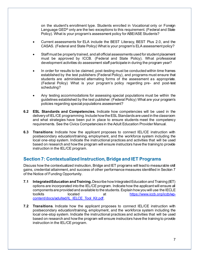on the student's enrollment type. Students enrolled in Vocational only or Foreign Language GED<sup>®</sup> only are the two exceptions to this requirement. (Federal and State Policy). What is your program's assessment policy for ABE/ASE Students?

- Current assessments for ELA include the BEST Literacy, BEST Plus 2.0, and the CASAS. (Federal and State Policy) What is your program's ELA assessment policy?
- Staff must be properly trained, and all official assessments used for student placement must be approved by ICCB. (Federal and State Policy). What professional development activities do assessment staff participate in during the program year?
- In order for results to be claimed, post-testing must be conducted within time frames established by the test publishers (Federal Policy), and programs must ensure that students are administered alternating forms of the assessment as appropriate. (Federal Policy) What is your program's policy regarding pre- and post-test scheduling?
- Any testing accommodations for assessing special populations must be within the guidelines established by the test publisher. (Federal Policy) What are your program's policies regarding special populations assessment?
- **6.2 ESL Standards and Competencies.** Indicate how competencies will be used in the delivery of IEL/CE programming. Include how the ESL Standards are used in the classroom and what strategies have been put in place to ensure students meet the competency requirements. See the Civics Competencies in the Adult Education Provider Manual.
- **6.3 Transitions**: Indicate how the applicant proposes to connect IEL/CE instruction with postsecondary education/training, employment, and the workforce system including the local one-stop system. Indicate the instructional practices and activities that will be used based on research and how the program will ensure instructors have the training to provide instruction in the IEL/CE program.

# <span id="page-6-0"></span>**Section 7: Contextualized Instruction, Bridge and IET Programs**

Discuss how the contextualized instruction, Bridge and IET programs will lead to measurable skill gains, credential attainment, and success of other performance measures identified in Section 7 of the Notice of Funding Opportunity.

- **7.1 IntegratedEducation and Training.**Describe how Integrated Education and Training (IET) options are incorporated into the IEL/CE program. Indicate how the applicant will ensure all components are provided and available to the students. Explain how you will use the IECLE toolkits located at [https://www.iccb.org/iccb/wp](https://www.iccb.org/iccb/wp-content/docs/adulted/IL_IELCE_Tool_Kit.pdf)[content/docs/adulted/IL\\_IELCE\\_Tool\\_Kit.pdf](https://www.iccb.org/iccb/wp-content/docs/adulted/IL_IELCE_Tool_Kit.pdf).
- **7.2 Transitions**. Indicate how the applicant proposes to connect IEL/CE instruction with postsecondary education/training, employment, and the workforce system including the local one-stop system. Indicate the instructional practices and activities that will be used based on research and how the program will ensure instructors have the training to provide instruction in the IEL/CE program.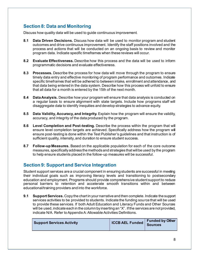# <span id="page-7-0"></span>**Section 8: Data and Monitoring**

Discuss how quality data will be used to guide continuous improvement.

- **8.1 Data Driven Decisions.** Discuss how data will be used to monitor program and student outcomes and drive continuous improvement. Identify the staff positions involved and the process and actions that will be conducted on an ongoing basis to review and monitor program data. Indicate specific timeframes when these reviews will occur.
- **8.2 Evaluate Effectiveness.** Describe how this process and the data will be used to inform programmatic decisions and evaluate effectiveness.
- **8.3 Processes.** Describe the process for how data will move through the program to ensure timely data entry and effective monitoring of program performance and outcomes. Indicate specific timeframes that will be adhered to between intake, enrollment and attendance, and that data being entered in the data system. Describe how this process will unfold to ensure that all data for a month is entered by the 15th of the next month.
- **8.4 Data Analysis.** Describe how your program will ensure that data analysis is conducted on a regular basis to ensure alignment with state targets. Include how programs staff will disaggregate data to identify inequities and develop strategies to advance equity.
- **8.5 Data Validity, Accuracy, and Integrity.** Explain how the program will ensure the validity, accuracy, and integrity of the data produced by the program.
- **8.6 Level Completion and Post-testing.** Describe the process within the program that will ensure level completion targets are achieved. Specifically address how the program will ensure post-testing is done within the Test Publisher's guidelines and that instruction is of sufficient quality, intensity, and duration to ensure student success.
- **8.7 Follow-up Measures.** Based on the applicable population for each of the core outcome measures, specifically address the methods and strategies that will be used by the program to help ensure students placed in the follow-up measures will be successful.

# <span id="page-7-1"></span>**Section 9: Support and Service Integration**

Student support services are a crucial component in ensuring students are successful in meeting their individual goals such as improving literacy levels and transitioning to postsecondary education and employment. Programs should provide comprehensive student support to reduce personal barriers to retention and accelerate smooth transitions within and between educational/training providers and into the workforce.

**9.1 Support Services.** Copy the chart in your narrative and then complete. Indicate the support services activities to be provided to students. Indicate the funding source that will be used to provide these services. If both Adult Education and Literacy Funds and Other Sources will be used, indicate each in the column by inserting an "X". If the services are not provided, indicate N/A. Refer to Appendix A: Allowable Activities Definitions.

| <b>Support Services Activity</b> | CCB AEL Funded   Funded | <b>Funded by Other</b> |
|----------------------------------|-------------------------|------------------------|
|                                  |                         |                        |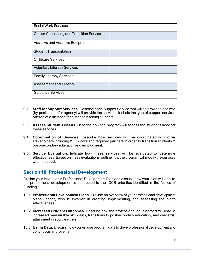| <b>Social Work Services</b>                |  |
|--------------------------------------------|--|
| Career Counseling and Transition Services. |  |
| Assistive and Adaptive Equipment           |  |
| <b>Student Transportation</b>              |  |
| <b>Childcare Services</b>                  |  |
| <b>Voluntary Literacy Services</b>         |  |
| <b>Family Literacy Services</b>            |  |
| <b>Assessment and Testing</b>              |  |
| <b>Guidance Services</b>                   |  |

- **9.2 Staff for Support Services.** Describe each Support Service that will be provided and who (by position and/or agency) will provide the services. Include the type of support services offered at a distance for distance learning students.
- **9.3 Assess Student's Needs.** Describe how the program will assess the student's need for these services.
- **9.4 Coordination of Services.** Describe how services will be coordinated with other stakeholders including WIOA core and required partners in order to transition students to post-secondary education and employment.
- **9.5 Service Evaluation.** Indicate how these services will be evaluated to determine effectiveness. Based on these evaluations, outline how the program will modify the services when needed.

#### <span id="page-8-0"></span>**Section 10: Professional Development**

Outline your institution's Professional Development Plan and discuss how your plan will ensure the professional development is connected to the ICCB priorities identified in the Notice of Funding.

- **10.1 Professional Development Plans.** Provide an overview of your professional development plans. Identify who is involved in creating, implementing, and assessing the plan's effectiveness.
- **10.2 Increased Student Outcomes.** Describe how the professional development will lead to increased measurable skill gains, transitions to postsecondary education, and credential attainment in adult learners.
- **10.3 Using Data.** Discuss how you will use program data to drive professional development and continuous improvement.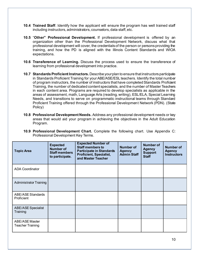- **10.4 Trained Staff**. Identify how the applicant will ensure the program has well trained staff including instructors, administrators, counselors, data staff, etc.
- **10.5** "**Other" Professional Development.** If professional development is offered by an organization other than the Professional Development Network, discuss what that professional development will cover, the credentials of the person or persons providing the training, and how the PD is aligned with the Illinois Content Standards and WIOA expectations.
- **10.6 Transference of Learning.** Discuss the process used to ensure the transference of learning from professional development into practice.
- **10.7 Standards Proficient Instructors.** Describe your plan to ensure that instructors participate in Standards Proficient Training for your ABE/ASE/ESL teachers. Identify the total number of program instructors, the number of instructors that have completed Standards Proficient Training, the number of dedicated content specialists, and the number of Master Teachers in each content area. Programs are required to develop specialists as applicable in the areas of assessment, math, Language Arts (reading, writing), ESL/ELA, Special Learning Needs, and transitions to serve on programmatic instructional teams through Standard Proficient Training offered through the Professional Development Network (PDN). (State Policy)
- **10.8 Professional Development Needs.** Address any professional development needs or key areas that would aid your program in achieving the objectives in the Adult Education Program.

| 10.9 Professional Development Chart. Complete the following chart. Use Appendix C: |  |  |  |  |
|------------------------------------------------------------------------------------|--|--|--|--|
| Professional Development Key Terms.                                                |  |  |  |  |

| <b>Topic Area</b>                                | <b>Expected</b><br><b>Number of</b><br><b>Staff members</b><br>to participate. | <b>Expected Number of</b><br><b>Staff members to</b><br><b>Participate in Standards</b><br><b>Proficient, Specialist,</b><br>and Master Teacher | <b>Number of</b><br><b>Agency</b><br><b>Admin Staff</b> | <b>Number of</b><br><b>Agency</b><br><b>Support</b><br><b>Staff</b> | <b>Number of</b><br><b>Agency</b><br><b>Instructors</b> |
|--------------------------------------------------|--------------------------------------------------------------------------------|-------------------------------------------------------------------------------------------------------------------------------------------------|---------------------------------------------------------|---------------------------------------------------------------------|---------------------------------------------------------|
| <b>ADA Coordinator</b>                           |                                                                                |                                                                                                                                                 |                                                         |                                                                     |                                                         |
| <b>Administrator Training</b>                    |                                                                                |                                                                                                                                                 |                                                         |                                                                     |                                                         |
| <b>ABE/ASE Standards</b><br>Proficient           |                                                                                |                                                                                                                                                 |                                                         |                                                                     |                                                         |
| <b>ABE/ASE Specialist</b><br>Training            |                                                                                |                                                                                                                                                 |                                                         |                                                                     |                                                         |
| <b>ABE/ASE Master</b><br><b>Teacher Training</b> |                                                                                |                                                                                                                                                 |                                                         |                                                                     |                                                         |